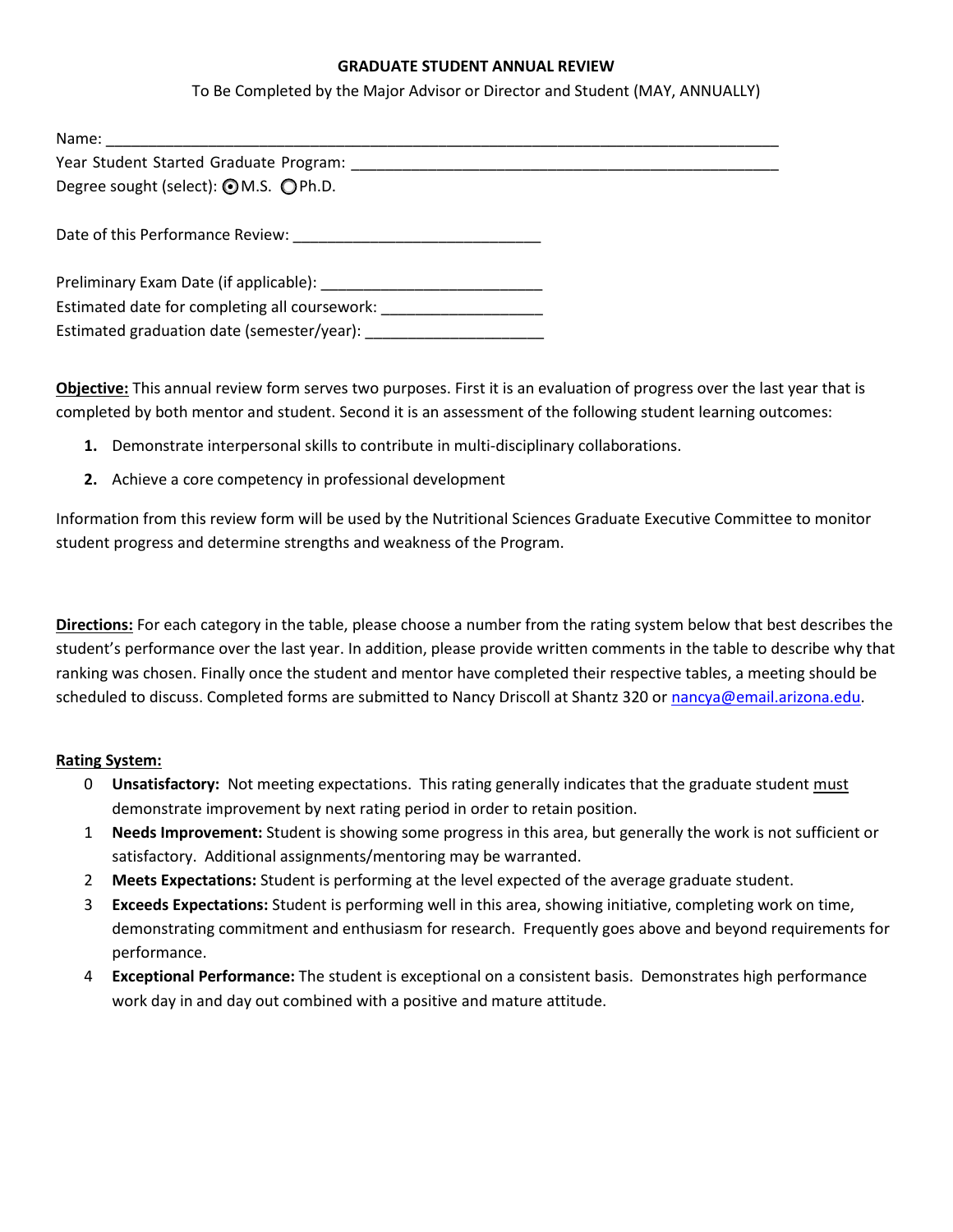## **GRADUATE STUDENT ANNUAL REVIEW**

To Be Completed by the Major Advisor or Director and Student (MAY, ANNUALLY)

| Name:                                                                                                                                                                                                                          |  |
|--------------------------------------------------------------------------------------------------------------------------------------------------------------------------------------------------------------------------------|--|
| Year Student Started Graduate Program: New York Channels and Channels Channels and Channels Channels and Channels Channels and Channels and Channels and Channels and Channels and Channels and Channels and Channels and Chan |  |
| Degree sought (select): ⊙M.S. ○Ph.D.                                                                                                                                                                                           |  |
|                                                                                                                                                                                                                                |  |
|                                                                                                                                                                                                                                |  |
|                                                                                                                                                                                                                                |  |
|                                                                                                                                                                                                                                |  |
| Estimated date for completing all coursework:                                                                                                                                                                                  |  |
| Estimated graduation date (semester/year):                                                                                                                                                                                     |  |

**Objective:** This annual review form serves two purposes. First it is an evaluation of progress over the last year that is completed by both mentor and student. Second it is an assessment of the following student learning outcomes:

- **1.** Demonstrate interpersonal skills to contribute in multi-disciplinary collaborations.
- **2.** Achieve a core competency in professional development

Information from this review form will be used by the Nutritional Sciences Graduate Executive Committee to monitor student progress and determine strengths and weakness of the Program.

**Directions:** For each category in the table, please choose a number from the rating system below that best describes the student's performance over the last year. In addition, please provide written comments in the table to describe why that ranking was chosen. Finally once the student and mentor have completed their respective tables, a meeting should be scheduled to discuss. Completed forms are submitted to Nancy Driscoll at Shantz 320 or [nancya@email.arizona.edu.](mailto:nancya@email.arizona.edu)

## **Rating System:**

- 0 **Unsatisfactory:** Not meeting expectations. This rating generally indicates that the graduate student must demonstrate improvement by next rating period in order to retain position.
- 1 **Needs Improvement:** Student is showing some progress in this area, but generally the work is not sufficient or satisfactory. Additional assignments/mentoring may be warranted.
- 2 **Meets Expectations:** Student is performing at the level expected of the average graduate student.
- 3 **Exceeds Expectations:** Student is performing well in this area, showing initiative, completing work on time, demonstrating commitment and enthusiasm for research. Frequently goes above and beyond requirements for performance.
- 4 **Exceptional Performance:** The student is exceptional on a consistent basis. Demonstrates high performance work day in and day out combined with a positive and mature attitude.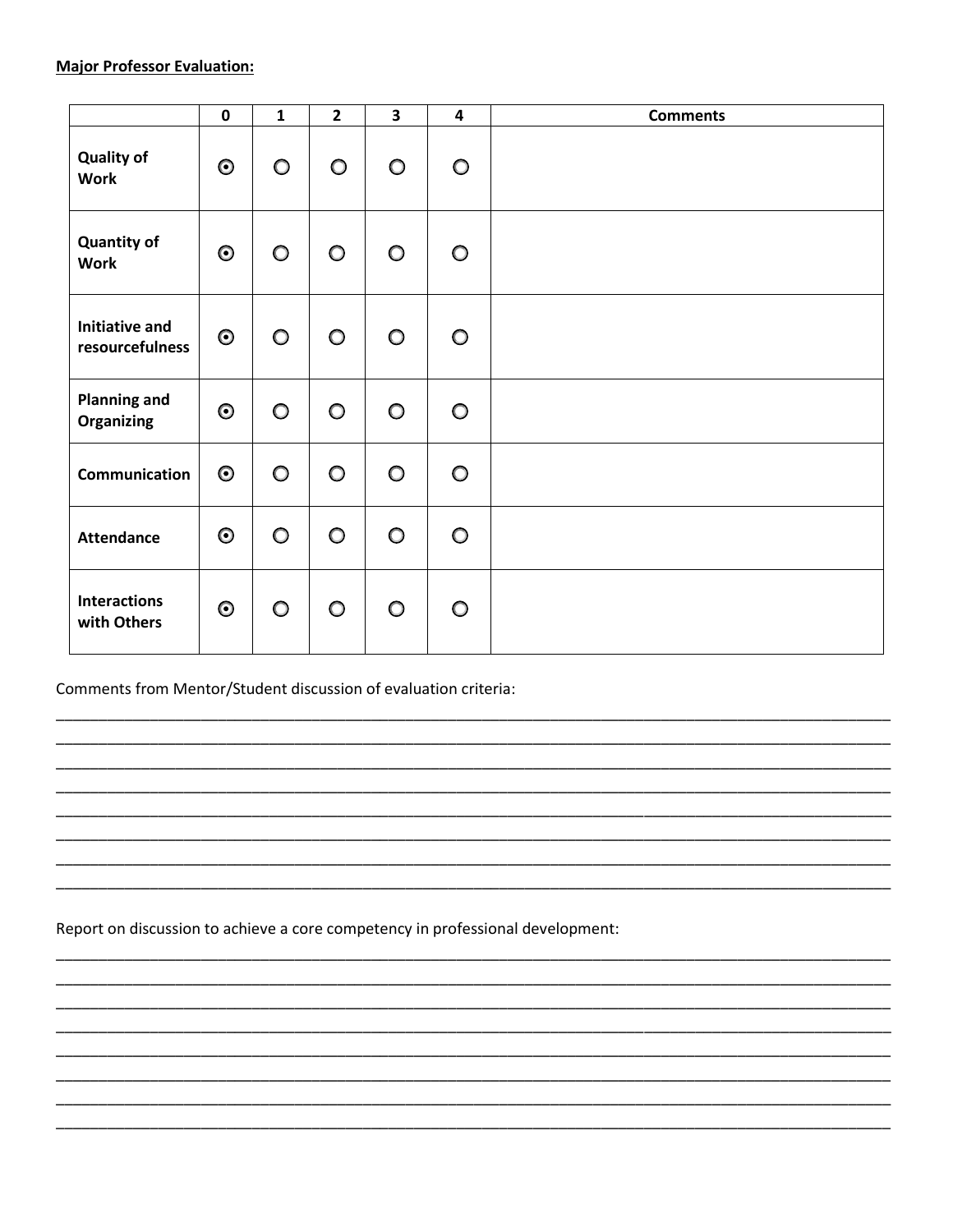|                                          | $\pmb{0}$ | $\mathbf{1}$ | $\overline{2}$ | $\overline{\mathbf{3}}$ | $\overline{\mathbf{4}}$ | <b>Comments</b> |
|------------------------------------------|-----------|--------------|----------------|-------------------------|-------------------------|-----------------|
| <b>Quality of</b><br><b>Work</b>         | $\odot$   | $\circ$      | $\circ$        | $\circ$                 | $\circ$                 |                 |
| <b>Quantity of</b><br><b>Work</b>        | $\odot$   | $\circ$      | $\circ$        | $\circ$                 | $\circ$                 |                 |
| <b>Initiative and</b><br>resourcefulness | $\odot$   | $\circ$      | $\circ$        | $\circ$                 | $\circ$                 |                 |
| <b>Planning and</b><br><b>Organizing</b> | $\odot$   | $\circ$      | $\circ$        | $\circ$                 | $\circ$                 |                 |
| Communication                            | $\odot$   | $\circ$      | $\circ$        | $\circ$                 | $\circ$                 |                 |
| <b>Attendance</b>                        | $\odot$   | $\circ$      | $\circ$        | $\circ$                 | $\circ$                 |                 |
| <b>Interactions</b><br>with Others       | $\odot$   | $\circ$      | $\circ$        | $\circ$                 | $\circ$                 |                 |

Comments from Mentor/Student discussion of evaluation criteria:

Report on discussion to achieve a core competency in professional development: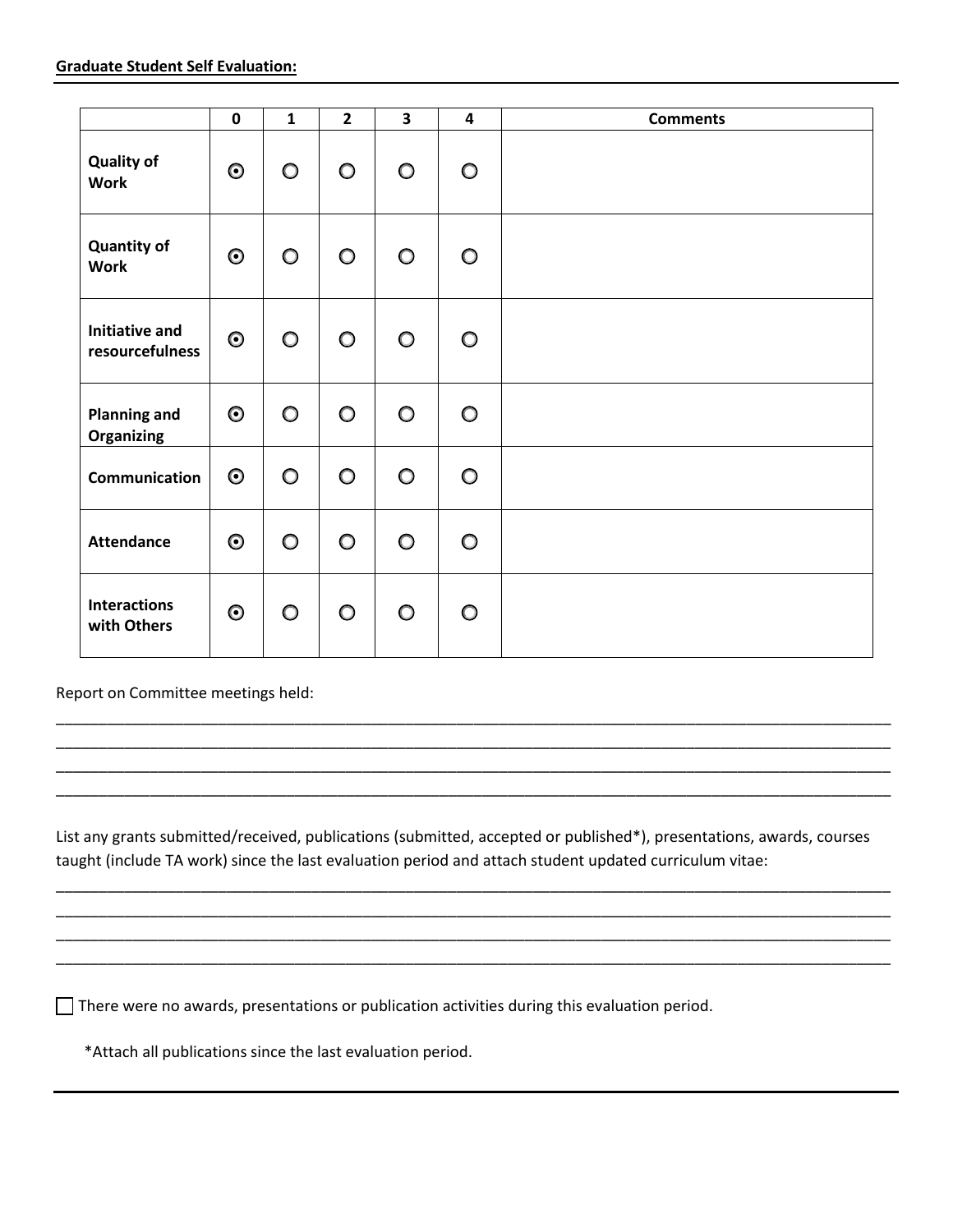|                                          | $\mathbf 0$ | $\mathbf{1}$ | $\overline{2}$ | $\overline{\mathbf{3}}$ | $\overline{\mathbf{4}}$ | <b>Comments</b> |
|------------------------------------------|-------------|--------------|----------------|-------------------------|-------------------------|-----------------|
| <b>Quality of</b><br><b>Work</b>         | $\odot$     | $\circ$      | $\circ$        | $\circ$                 | $\circ$                 |                 |
| <b>Quantity of</b><br><b>Work</b>        | $\odot$     | $\circ$      | $\circ$        | $\circ$                 | $\circ$                 |                 |
| <b>Initiative and</b><br>resourcefulness | $\odot$     | $\circ$      | $\circ$        | $\circ$                 | $\circ$                 |                 |
| <b>Planning and</b><br><b>Organizing</b> | $\odot$     | $\circ$      | $\circ$        | $\circ$                 | $\circ$                 |                 |
| Communication                            | $\odot$     | $\circ$      | $\circ$        | $\circ$                 | $\circ$                 |                 |
| <b>Attendance</b>                        | $\odot$     | $\circ$      | $\circ$        | $\circ$                 | $\circ$                 |                 |
| <b>Interactions</b><br>with Others       | $\odot$     | $\circ$      | $\circ$        | $\circ$                 | $\circ$                 |                 |

Report on Committee meetings held:

List any grants submitted/received, publications (submitted, accepted or published\*), presentations, awards, courses taught (include TA work) since the last evaluation period and attach student updated curriculum vitae:

\_\_\_\_\_\_\_\_\_\_\_\_\_\_\_\_\_\_\_\_\_\_\_\_\_\_\_\_\_\_\_\_\_\_\_\_\_\_\_\_\_\_\_\_\_\_\_\_\_\_\_\_\_\_\_\_\_\_\_\_\_\_\_\_\_\_\_\_\_\_\_\_\_\_\_\_\_\_\_\_\_\_\_\_\_\_\_\_\_\_\_\_\_\_\_\_\_\_ \_\_\_\_\_\_\_\_\_\_\_\_\_\_\_\_\_\_\_\_\_\_\_\_\_\_\_\_\_\_\_\_\_\_\_\_\_\_\_\_\_\_\_\_\_\_\_\_\_\_\_\_\_\_\_\_\_\_\_\_\_\_\_\_\_\_\_\_\_\_\_\_\_\_\_\_\_\_\_\_\_\_\_\_\_\_\_\_\_\_\_\_\_\_\_\_\_\_ \_\_\_\_\_\_\_\_\_\_\_\_\_\_\_\_\_\_\_\_\_\_\_\_\_\_\_\_\_\_\_\_\_\_\_\_\_\_\_\_\_\_\_\_\_\_\_\_\_\_\_\_\_\_\_\_\_\_\_\_\_\_\_\_\_\_\_\_\_\_\_\_\_\_\_\_\_\_\_\_\_\_\_\_\_\_\_\_\_\_\_\_\_\_\_\_\_\_ \_\_\_\_\_\_\_\_\_\_\_\_\_\_\_\_\_\_\_\_\_\_\_\_\_\_\_\_\_\_\_\_\_\_\_\_\_\_\_\_\_\_\_\_\_\_\_\_\_\_\_\_\_\_\_\_\_\_\_\_\_\_\_\_\_\_\_\_\_\_\_\_\_\_\_\_\_\_\_\_\_\_\_\_\_\_\_\_\_\_\_\_\_\_\_\_\_\_

\_\_\_\_\_\_\_\_\_\_\_\_\_\_\_\_\_\_\_\_\_\_\_\_\_\_\_\_\_\_\_\_\_\_\_\_\_\_\_\_\_\_\_\_\_\_\_\_\_\_\_\_\_\_\_\_\_\_\_\_\_\_\_\_\_\_\_\_\_\_\_\_\_\_\_\_\_\_\_\_\_\_\_\_\_\_\_\_\_\_\_\_\_\_\_\_\_\_ \_\_\_\_\_\_\_\_\_\_\_\_\_\_\_\_\_\_\_\_\_\_\_\_\_\_\_\_\_\_\_\_\_\_\_\_\_\_\_\_\_\_\_\_\_\_\_\_\_\_\_\_\_\_\_\_\_\_\_\_\_\_\_\_\_\_\_\_\_\_\_\_\_\_\_\_\_\_\_\_\_\_\_\_\_\_\_\_\_\_\_\_\_\_\_\_\_\_ \_\_\_\_\_\_\_\_\_\_\_\_\_\_\_\_\_\_\_\_\_\_\_\_\_\_\_\_\_\_\_\_\_\_\_\_\_\_\_\_\_\_\_\_\_\_\_\_\_\_\_\_\_\_\_\_\_\_\_\_\_\_\_\_\_\_\_\_\_\_\_\_\_\_\_\_\_\_\_\_\_\_\_\_\_\_\_\_\_\_\_\_\_\_\_\_\_\_ \_\_\_\_\_\_\_\_\_\_\_\_\_\_\_\_\_\_\_\_\_\_\_\_\_\_\_\_\_\_\_\_\_\_\_\_\_\_\_\_\_\_\_\_\_\_\_\_\_\_\_\_\_\_\_\_\_\_\_\_\_\_\_\_\_\_\_\_\_\_\_\_\_\_\_\_\_\_\_\_\_\_\_\_\_\_\_\_\_\_\_\_\_\_\_\_\_\_

There were no awards, presentations or publication activities during this evaluation period.

\*Attach all publications since the last evaluation period.